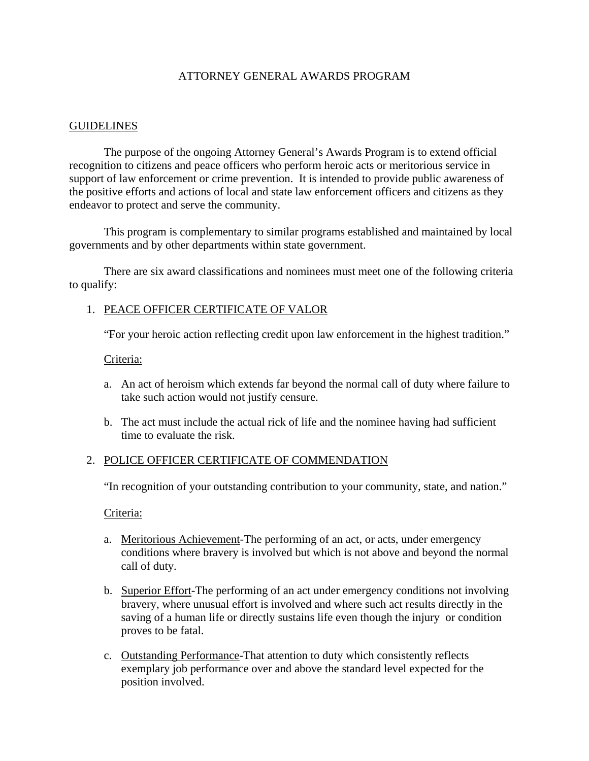# ATTORNEY GENERAL AWARDS PROGRAM

#### GUIDELINES

The purpose of the ongoing Attorney General's Awards Program is to extend official recognition to citizens and peace officers who perform heroic acts or meritorious service in support of law enforcement or crime prevention. It is intended to provide public awareness of the positive efforts and actions of local and state law enforcement officers and citizens as they endeavor to protect and serve the community.

 This program is complementary to similar programs established and maintained by local governments and by other departments within state government.

 There are six award classifications and nominees must meet one of the following criteria to qualify:

### 1. PEACE OFFICER CERTIFICATE OF VALOR

"For your heroic action reflecting credit upon law enforcement in the highest tradition."

#### Criteria:

- a. An act of heroism which extends far beyond the normal call of duty where failure to take such action would not justify censure.
- b. The act must include the actual rick of life and the nominee having had sufficient time to evaluate the risk.

### 2. POLICE OFFICER CERTIFICATE OF COMMENDATION

"In recognition of your outstanding contribution to your community, state, and nation."

Criteria:

- a. Meritorious Achievement-The performing of an act, or acts, under emergency conditions where bravery is involved but which is not above and beyond the normal call of duty.
- b. Superior Effort-The performing of an act under emergency conditions not involving bravery, where unusual effort is involved and where such act results directly in the saving of a human life or directly sustains life even though the injury or condition proves to be fatal.
- c. Outstanding Performance-That attention to duty which consistently reflects exemplary job performance over and above the standard level expected for the position involved.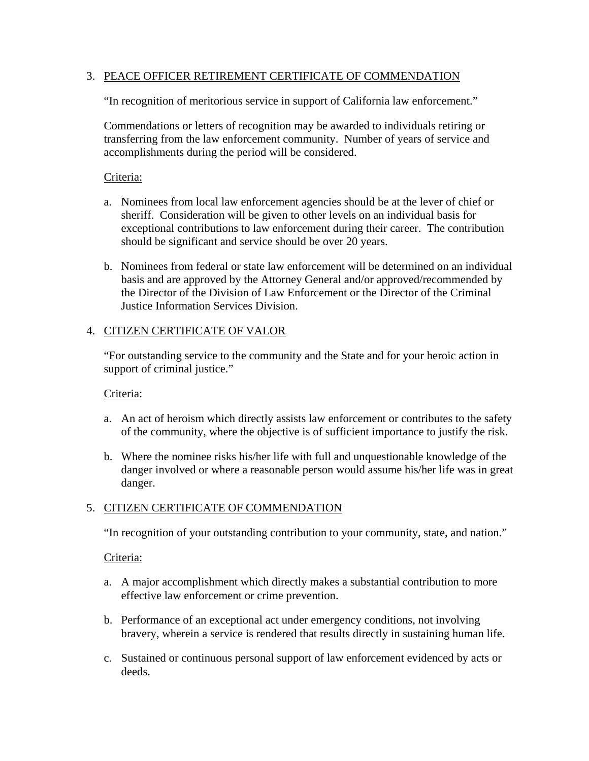### 3. PEACE OFFICER RETIREMENT CERTIFICATE OF COMMENDATION

"In recognition of meritorious service in support of California law enforcement."

Commendations or letters of recognition may be awarded to individuals retiring or transferring from the law enforcement community. Number of years of service and accomplishments during the period will be considered.

### Criteria:

- a. Nominees from local law enforcement agencies should be at the lever of chief or sheriff. Consideration will be given to other levels on an individual basis for exceptional contributions to law enforcement during their career. The contribution should be significant and service should be over 20 years.
- b. Nominees from federal or state law enforcement will be determined on an individual basis and are approved by the Attorney General and/or approved/recommended by the Director of the Division of Law Enforcement or the Director of the Criminal Justice Information Services Division.

# 4. CITIZEN CERTIFICATE OF VALOR

"For outstanding service to the community and the State and for your heroic action in support of criminal justice."

### Criteria:

- a. An act of heroism which directly assists law enforcement or contributes to the safety of the community, where the objective is of sufficient importance to justify the risk.
- b. Where the nominee risks his/her life with full and unquestionable knowledge of the danger involved or where a reasonable person would assume his/her life was in great danger.

### 5. CITIZEN CERTIFICATE OF COMMENDATION

"In recognition of your outstanding contribution to your community, state, and nation."

### Criteria:

- a. A major accomplishment which directly makes a substantial contribution to more effective law enforcement or crime prevention.
- b. Performance of an exceptional act under emergency conditions, not involving bravery, wherein a service is rendered that results directly in sustaining human life.
- c. Sustained or continuous personal support of law enforcement evidenced by acts or deeds.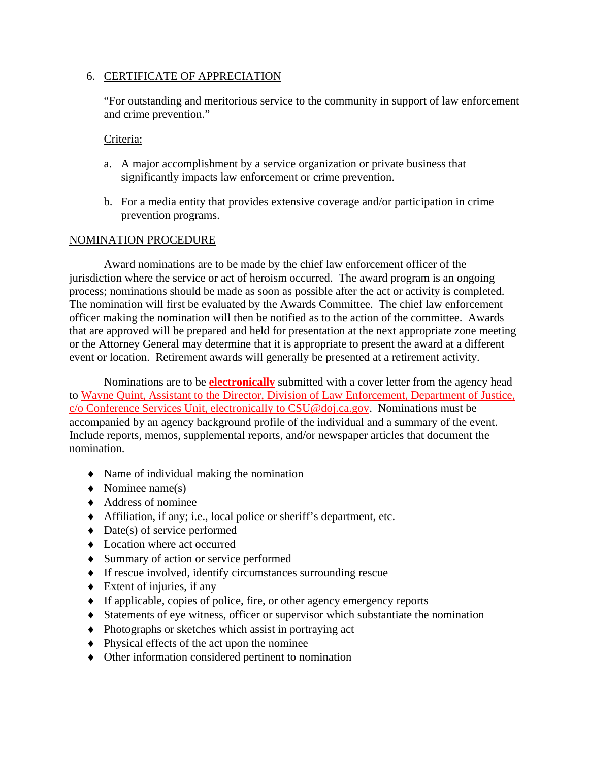### 6. CERTIFICATE OF APPRECIATION

"For outstanding and meritorious service to the community in support of law enforcement and crime prevention."

### Criteria:

- a. A major accomplishment by a service organization or private business that significantly impacts law enforcement or crime prevention.
- b. For a media entity that provides extensive coverage and/or participation in crime prevention programs.

# NOMINATION PROCEDURE

 Award nominations are to be made by the chief law enforcement officer of the jurisdiction where the service or act of heroism occurred. The award program is an ongoing process; nominations should be made as soon as possible after the act or activity is completed. The nomination will first be evaluated by the Awards Committee. The chief law enforcement officer making the nomination will then be notified as to the action of the committee. Awards that are approved will be prepared and held for presentation at the next appropriate zone meeting or the Attorney General may determine that it is appropriate to present the award at a different event or location. Retirement awards will generally be presented at a retirement activity.

 Nominations are to be **electronically** submitted with a cover letter from the agency head to Wayne Quint, Assistant to the Director, Division of Law Enforcement, Department of Justice, c/o Conference Services Unit, electronically to CSU@doj.ca.gov. Nominations must be accompanied by an agency background profile of the individual and a summary of the event. Include reports, memos, supplemental reports, and/or newspaper articles that document the nomination.

- Name of individual making the nomination
- $\blacklozenge$  Nominee name(s)
- Address of nominee
- Affiliation, if any; i.e., local police or sheriff's department, etc.
- $\triangleleft$  Date(s) of service performed
- Location where act occurred
- Summary of action or service performed
- If rescue involved, identify circumstances surrounding rescue
- $\triangleleft$  Extent of injuries, if any
- If applicable, copies of police, fire, or other agency emergency reports
- Statements of eye witness, officer or supervisor which substantiate the nomination
- Photographs or sketches which assist in portraying act
- Physical effects of the act upon the nominee
- Other information considered pertinent to nomination